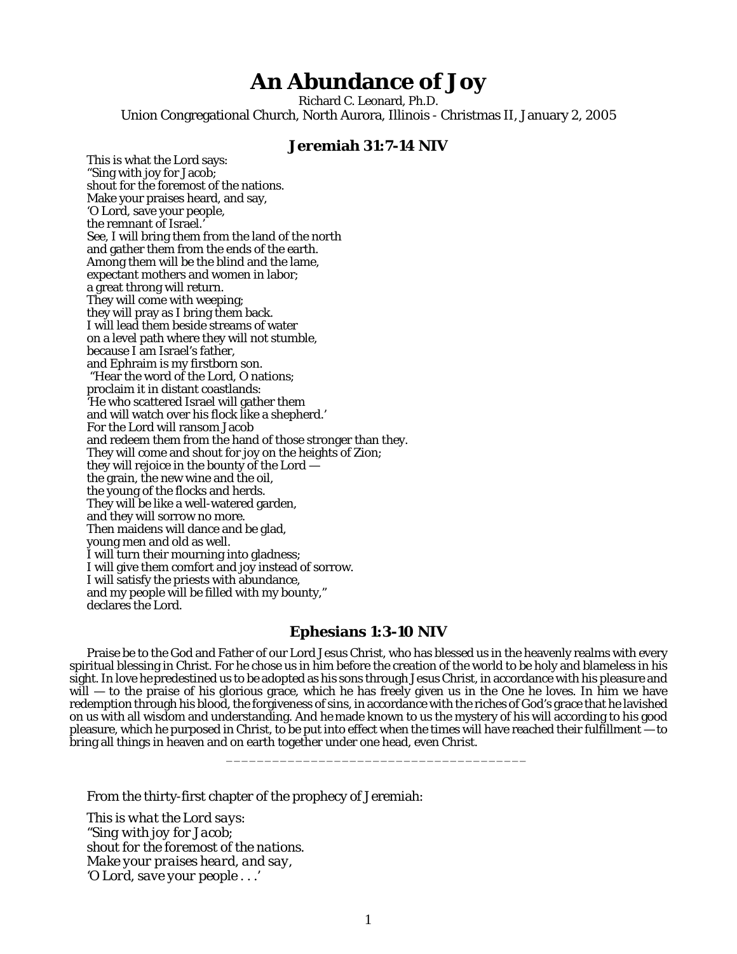## **An Abundance of Joy**

Richard C. Leonard, Ph.D. Union Congregational Church, North Aurora, Illinois - Christmas II, January 2, 2005

## **Jeremiah 31:7-14 NIV**

This is what the Lord says: "Sing with joy for Jacob; shout for the foremost of the nations. Make your praises heard, and say, 'O Lord, save your people, the remnant of Israel.' See, I will bring them from the land of the north and gather them from the ends of the earth. Among them will be the blind and the lame, expectant mothers and women in labor; a great throng will return. They will come with weeping; they will pray as I bring them back. I will lead them beside streams of water on a level path where they will not stumble, because I am Israel's father, and Ephraim is my firstborn son. "Hear the word of the Lord, O nations; proclaim it in distant coastlands: 'He who scattered Israel will gather them and will watch over his flock like a shepherd.' For the Lord will ransom Jacob and redeem them from the hand of those stronger than they. They will come and shout for joy on the heights of Zion; they will rejoice in the bounty of the Lord the grain, the new wine and the oil, the young of the flocks and herds. They will be like a well-watered garden, and they will sorrow no more. Then maidens will dance and be glad, young men and old as well. I will turn their mourning into gladness; I will give them comfort and joy instead of sorrow. I will satisfy the priests with abundance, and my people will be filled with my bounty," declares the Lord.

## **Ephesians 1:3-10 NIV**

Praise be to the God and Father of our Lord Jesus Christ, who has blessed us in the heavenly realms with every spiritual blessing in Christ. For he chose us in him before the creation of the world to be holy and blameless in his sight. In love hepredestined us to be adopted as his sons through Jesus Christ, in accordance with his pleasure and will — to the praise of his glorious grace, which he has freely given us in the One he loves. In him we have redemption through his blood, the forgiveness of sins, in accordance with the riches of God's grace that he lavished on us with all wisdom and understanding. And he made known to us the mystery of his will according to his good pleasure, which he purposed in Christ, to be put into effect when the times will have reached their fulfillment — to bring all things in heaven and on earth together under one head, even Christ.

\_\_\_\_\_\_\_\_\_\_\_\_\_\_\_\_\_\_\_\_\_\_\_\_\_\_\_\_\_\_\_\_\_\_\_\_\_\_\_

From the thirty-first chapter of the prophecy of Jeremiah:

*This is what the Lord says: "Sing with joy for Jacob; shout for the foremost of the nations. Make your praises heard, and say, 'O Lord, save your people . . .'*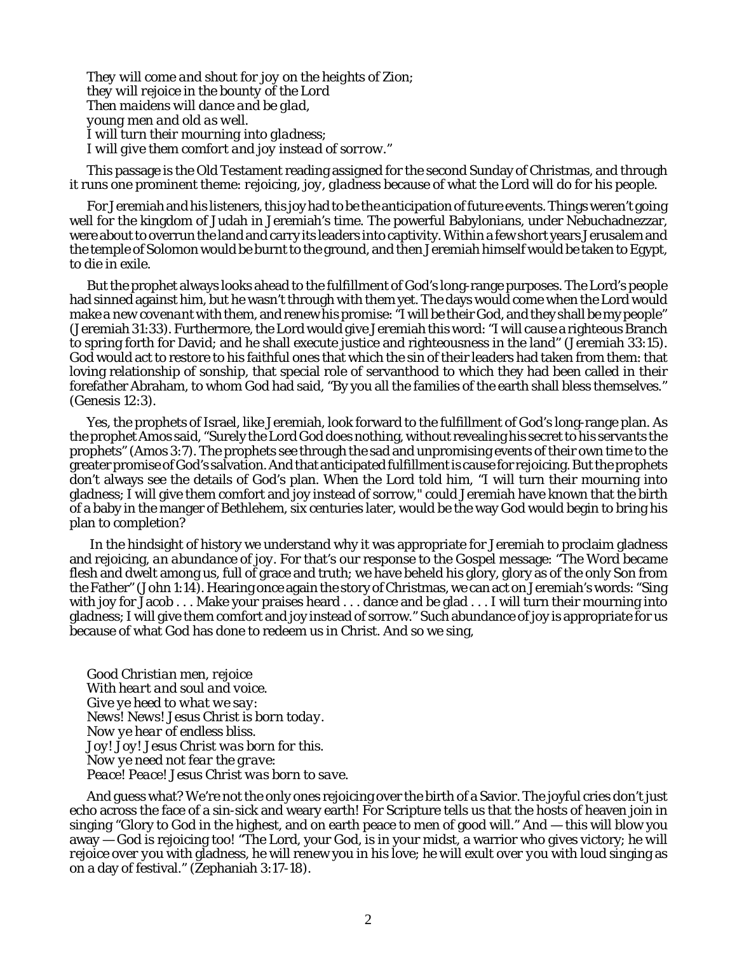*They will come and shout for joy on the heights of Zion; they will rejoice in the bounty of the Lord Then maidens will dance and be glad, young men and old as well. I will turn their mourning into gladness; I will give them comfort and joy instead of sorrow."*

This passage is the Old Testament reading assigned for the second Sunday of Christmas, and through it runs one prominent theme: *rejoicing, joy, gladness* because of what the Lord will do for his people.

For Jeremiah and his listeners, this joy had to be the anticipation of future events. Things weren't going well for the kingdom of Judah in Jeremiah's time. The powerful Babylonians, under Nebuchadnezzar, were about to overrun the land and carry its leaders into captivity. Within a few short years Jerusalem and the temple of Solomon would be burnt to the ground, and then Jeremiah himself would be taken to Egypt, to die in exile.

But the prophet always looks ahead to the fulfillment of God's long-range purposes. The Lord's people had sinned against him, but he wasn't through with them yet. The days would come when the Lord would make *a new covenant* with them, and renew his promise: "I will be their God, and they shall be my people" (Jeremiah 31:33). Furthermore, the Lord would give Jeremiah this word: "I will cause a righteous Branch to spring forth for David; and he shall execute justice and righteousness in the land" (Jeremiah 33:15). God would act to restore to his faithful ones that which the sin of their leaders had taken from them: that loving relationship of sonship, that special role of servanthood to which they had been called in their forefather Abraham, to whom God had said, "By you all the families of the earth shall bless themselves." (Genesis 12:3).

Yes, the prophets of Israel, like Jeremiah, look forward to the fulfillment of God's long-range plan. As the prophet Amos said, "Surely the Lord God does nothing, without revealing his secret to his servants the prophets" (Amos 3:7). The prophets see through the sad and unpromising events of their own time to the greater promise of God's salvation. And that anticipated fulfillment is cause for rejoicing. But the prophets don't always see the details of God's plan. When the Lord told him, "I will turn their mourning into gladness; I will give them comfort and joy instead of sorrow," could Jeremiah have known that the birth of a baby in the manger of Bethlehem, six centuries later, would be the way God would begin to bring his plan to completion?

In the hindsight of history we understand why it was appropriate for Jeremiah to proclaim gladness and rejoicing, *an abundance of joy.* For that's our response to the Gospel message: "The Word became flesh and dwelt among us, full of grace and truth; we have beheld his glory, glory as of the only Son from the Father" (John 1:14). Hearing once again the story of Christmas, we can act on Jeremiah's words: "Sing with joy for Jacob . . . Make your praises heard . . . dance and be glad . . . I will turn their mourning into gladness; I will give them comfort and joy instead of sorrow." Such abundance of joy is appropriate for us because of what God has done to redeem us in Christ. And so we sing,

*Good Christian men, rejoice With heart and soul and voice. Give ye heed to what we say: News! News! Jesus Christ is born today. Now ye hear of endless bliss. Joy! Joy! Jesus Christ was born for this. Now ye need not fear the grave: Peace! Peace! Jesus Christ was born to save.*

And guess what? We're not the only ones rejoicing over the birth of a Savior. The joyful cries don't just echo across the face of a sin-sick and weary earth! For Scripture tells us that the hosts of heaven join in singing "Glory to God in the highest, and on earth peace to men of good will." And — this will blow you away — God is rejoicing too! "The Lord, your God, is in your midst, a warrior who gives victory; *he will rejoice over you* with gladness, he will renew you in his love; *he will exult over you* with loud singing as on a day of festival." (Zephaniah 3:17-18).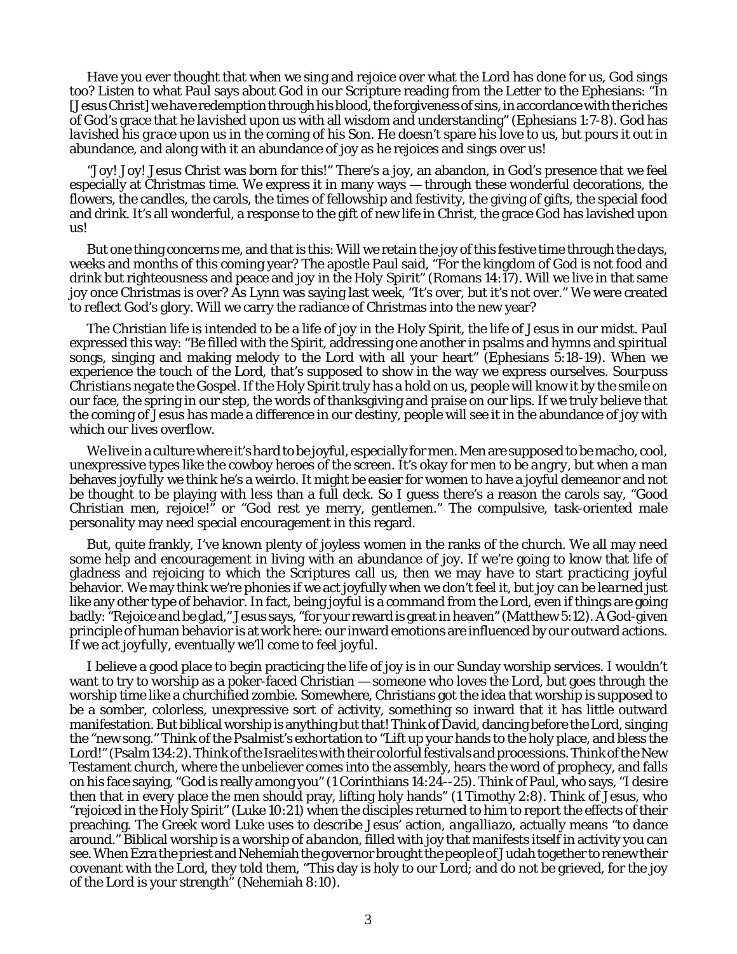Have you ever thought that when we sing and rejoice over what the Lord has done for us, *God sings too?* Listen to what Paul says about God in our Scripture reading from the Letter to the Ephesians: "In [Jesus Christ] we have redemption through his blood, the forgiveness of sins, in accordance with the riches of God's grace that he *lavished upon us* with all wisdom and understanding" (Ephesians 1:7-8). God has *lavished his grace* upon us in the coming of his Son. He doesn't spare his love to us, but pours it out in abundance, and along with it an abundance of joy as he rejoices and sings over us!

"Joy! Joy! Jesus Christ was born for this!" There's a joy, an abandon, in God's presence that we feel especially at Christmas time. We express it in many ways — through these wonderful decorations, the flowers, the candles, the carols, the times of fellowship and festivity, the giving of gifts, the special food and drink. It's all wonderful, a response to the gift of new life in Christ, the grace God has lavished upon us!

But one thing concerns me, and that is this: Will we retain the joy of this festive time through the days, weeks and months of this coming year? The apostle Paul said, "For the kingdom of God is not food and drink but righteousness and peace and *joy in the Holy Spirit"* (Romans 14:17). Will we live in that same joy once Christmas is over? As Lynn was saying last week, "It's over, but it's not over." We were created to reflect God's glory. Will we carry the radiance of Christmas into the new year?

The Christian life is intended to be a life of joy in the Holy Spirit, the life of Jesus in our midst. Paul expressed this way: "Be filled with the Spirit, addressing one another in psalms and hymns and spiritual songs, singing and making melody to the Lord with all your heart" (Ephesians 5:18-19). When we experience the touch of the Lord, that's supposed to show in the way we express ourselves. *Sourpuss Christians negate the Gospel.* If the Holy Spirit truly has a hold on us, people will know it by the smile on our face, the spring in our step, the words of thanksgiving and praise on our lips. If we truly believe that the coming of Jesus has made a difference in our destiny, people will see it in the abundance of joy with which our lives overflow.

We live in a culture where it's hard to be joyful, especially for men. Men are supposed to be macho, cool, unexpressive types like the cowboy heroes of the screen. It's okay for men to be *angry,* but when a man behaves *joyfully* we think he's a weirdo. It might be easier for women to have a joyful demeanor and not be thought to be playing with less than a full deck. So I guess there's a reason the carols say, "Good Christian *men,* rejoice!" or "God rest ye merry, *gentlemen.*" The compulsive, task-oriented male personality may need special encouragement in this regard.

But, quite frankly, I've known plenty of joyless women in the ranks of the church. We all may need some help and encouragement in living with an abundance of joy. If we're going to know that life of gladness and rejoicing to which the Scriptures call us, then we may have to start *practicing* joyful behavior. We may think we're phonies if we act joyfully when we don't feel it, but *joy can be learned* just like any other type of behavior. In fact, being joyful is a command from the Lord, even if things are going badly: "Rejoice and be glad," Jesus says, "for your reward is great in heaven" (Matthew 5:12). A God-given principle of human behavior is at work here: our inward emotions are influenced by our outward actions. If we *act joyfully,* eventually we'll come to *feel joyful.*

I believe a good place to begin practicing the life of joy is in our Sunday worship services. I wouldn't want to try to worship as a poker-faced Christian — someone who loves the Lord, but goes through the worship time like a churchified zombie. Somewhere, Christians got the idea that worship is supposed to be a somber, colorless, unexpressive sort of activity, something so inward that it has little outward manifestation. But biblical worship is anything but that! Think of David, dancing before the Lord, singing the "new song." Think of the Psalmist's exhortation to "Lift up your hands to the holy place, and bless the Lord!" (Psalm 134:2). Think of the Israelites with their colorful festivals and processions. Think of the New Testament church, where the unbeliever comes into the assembly, hears the word of prophecy, and falls on his face saying, "God is really among you" (1 Corinthians 14:24--25). Think of Paul, who says, "I desire then that in every place the men should pray, lifting holy hands" (1 Timothy 2:8). Think of Jesus, who "rejoiced in the Holy Spirit" (Luke 10:21) when the disciples returned to him to report the effects of their preaching. The Greek word Luke uses to describe Jesus' action, *angalliazo*, actually means "to dance around." Biblical worship is a worship of *abandon*, filled with joy that manifests itself in activity you can see. When Ezra the priest and Nehemiah the governor brought the people of Judah together to renew their covenant with the Lord, they told them, "This day is holy to our Lord; and do not be grieved, for the joy of the Lord is your strength" (Nehemiah 8:10).